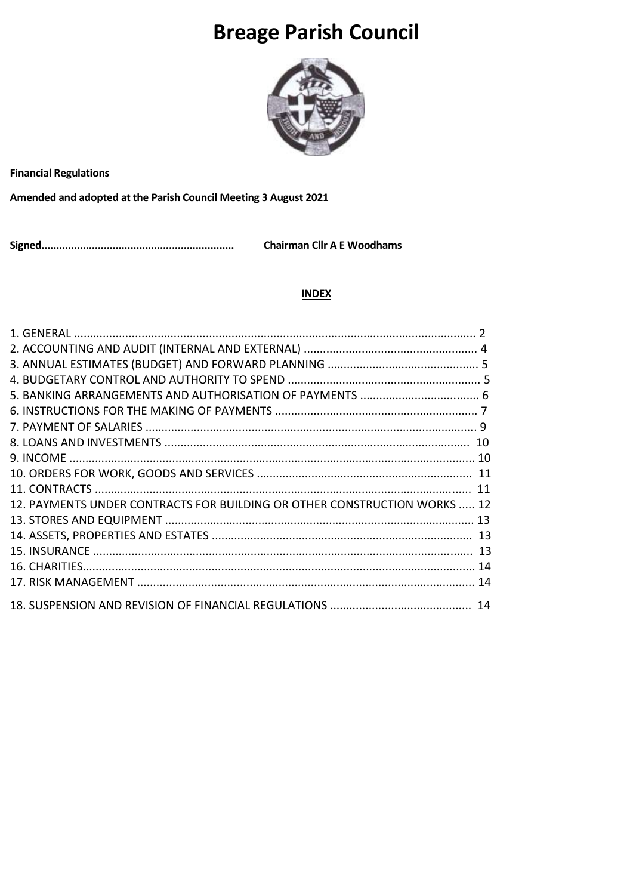# **Breage Parish Council**



**Financial Regulations** 

Amended and adopted at the Parish Council Meeting 3 August 2021

**Chairman Cllr A E Woodhams** 

#### **INDEX**

| 12. PAYMENTS UNDER CONTRACTS FOR BUILDING OR OTHER CONSTRUCTION WORKS  12 |  |
|---------------------------------------------------------------------------|--|
|                                                                           |  |
|                                                                           |  |
|                                                                           |  |
|                                                                           |  |
|                                                                           |  |
|                                                                           |  |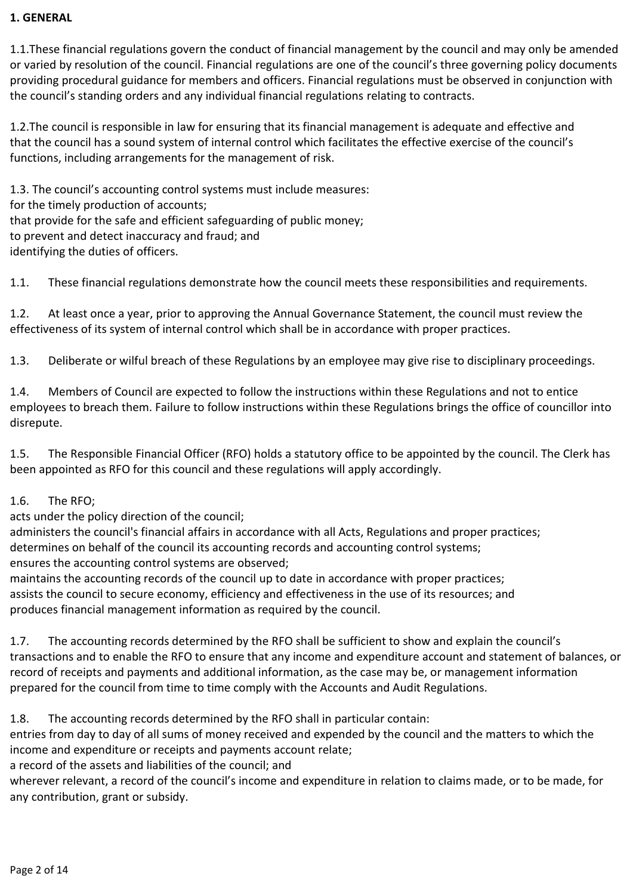## **1. GENERAL**

1.1.These financial regulations govern the conduct of financial management by the council and may only be amended or varied by resolution of the council. Financial regulations are one of the council's three governing policy documents providing procedural guidance for members and officers. Financial regulations must be observed in conjunction with the council's standing orders and any individual financial regulations relating to contracts.

1.2.The council is responsible in law for ensuring that its financial management is adequate and effective and that the council has a sound system of internal control which facilitates the effective exercise of the council's functions, including arrangements for the management of risk.

1.3. The council's accounting control systems must include measures: for the timely production of accounts; that provide for the safe and efficient safeguarding of public money; to prevent and detect inaccuracy and fraud; and identifying the duties of officers.

1.1. These financial regulations demonstrate how the council meets these responsibilities and requirements.

1.2. At least once a year, prior to approving the Annual Governance Statement, the council must review the effectiveness of its system of internal control which shall be in accordance with proper practices.

1.3. Deliberate or wilful breach of these Regulations by an employee may give rise to disciplinary proceedings.

1.4. Members of Council are expected to follow the instructions within these Regulations and not to entice employees to breach them. Failure to follow instructions within these Regulations brings the office of councillor into disrepute.

1.5. The Responsible Financial Officer (RFO) holds a statutory office to be appointed by the council. The Clerk has been appointed as RFO for this council and these regulations will apply accordingly.

## 1.6. The RFO;

acts under the policy direction of the council;

administers the council's financial affairs in accordance with all Acts, Regulations and proper practices; determines on behalf of the council its accounting records and accounting control systems; ensures the accounting control systems are observed;

maintains the accounting records of the council up to date in accordance with proper practices; assists the council to secure economy, efficiency and effectiveness in the use of its resources; and produces financial management information as required by the council.

1.7. The accounting records determined by the RFO shall be sufficient to show and explain the council's transactions and to enable the RFO to ensure that any income and expenditure account and statement of balances, or record of receipts and payments and additional information, as the case may be, or management information prepared for the council from time to time comply with the Accounts and Audit Regulations.

1.8. The accounting records determined by the RFO shall in particular contain:

entries from day to day of all sums of money received and expended by the council and the matters to which the income and expenditure or receipts and payments account relate;

a record of the assets and liabilities of the council; and

wherever relevant, a record of the council's income and expenditure in relation to claims made, or to be made, for any contribution, grant or subsidy.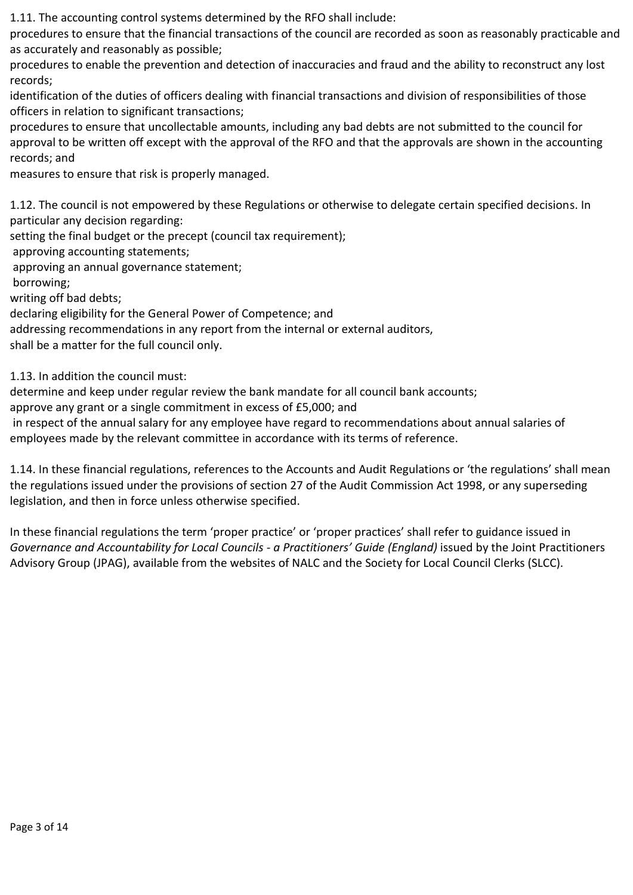1.11. The accounting control systems determined by the RFO shall include:

procedures to ensure that the financial transactions of the council are recorded as soon as reasonably practicable and as accurately and reasonably as possible;

procedures to enable the prevention and detection of inaccuracies and fraud and the ability to reconstruct any lost records;

identification of the duties of officers dealing with financial transactions and division of responsibilities of those officers in relation to significant transactions;

procedures to ensure that uncollectable amounts, including any bad debts are not submitted to the council for approval to be written off except with the approval of the RFO and that the approvals are shown in the accounting records; and

measures to ensure that risk is properly managed.

1.12. The council is not empowered by these Regulations or otherwise to delegate certain specified decisions. In particular any decision regarding:

setting the final budget or the precept (council tax requirement);

approving accounting statements;

approving an annual governance statement;

borrowing;

writing off bad debts;

declaring eligibility for the General Power of Competence; and

addressing recommendations in any report from the internal or external auditors,

shall be a matter for the full council only.

1.13. In addition the council must:

determine and keep under regular review the bank mandate for all council bank accounts;

approve any grant or a single commitment in excess of £5,000; and

in respect of the annual salary for any employee have regard to recommendations about annual salaries of employees made by the relevant committee in accordance with its terms of reference.

1.14. In these financial regulations, references to the Accounts and Audit Regulations or 'the regulations' shall mean the regulations issued under the provisions of section 27 of the Audit Commission Act 1998, or any superseding legislation, and then in force unless otherwise specified.

In these financial regulations the term 'proper practice' or 'proper practices' shall refer to guidance issued in *Governance and Accountability for Local Councils - a Practitioners' Guide (England)* issued by the Joint Practitioners Advisory Group (JPAG), available from the websites of NALC and the Society for Local Council Clerks (SLCC).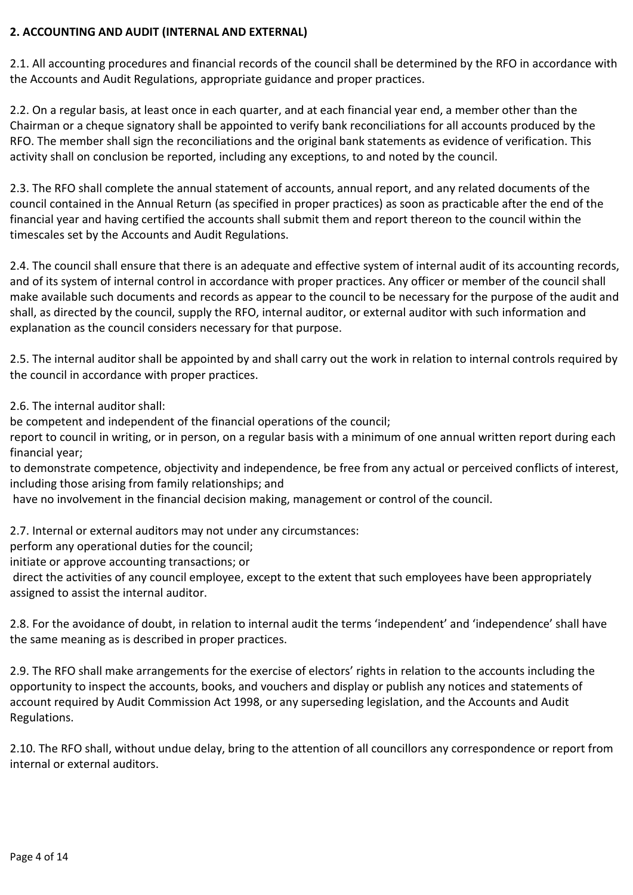## **2. ACCOUNTING AND AUDIT (INTERNAL AND EXTERNAL)**

2.1. All accounting procedures and financial records of the council shall be determined by the RFO in accordance with the Accounts and Audit Regulations, appropriate guidance and proper practices.

2.2. On a regular basis, at least once in each quarter, and at each financial year end, a member other than the Chairman or a cheque signatory shall be appointed to verify bank reconciliations for all accounts produced by the RFO. The member shall sign the reconciliations and the original bank statements as evidence of verification. This activity shall on conclusion be reported, including any exceptions, to and noted by the council.

2.3. The RFO shall complete the annual statement of accounts, annual report, and any related documents of the council contained in the Annual Return (as specified in proper practices) as soon as practicable after the end of the financial year and having certified the accounts shall submit them and report thereon to the council within the timescales set by the Accounts and Audit Regulations.

2.4. The council shall ensure that there is an adequate and effective system of internal audit of its accounting records, and of its system of internal control in accordance with proper practices. Any officer or member of the council shall make available such documents and records as appear to the council to be necessary for the purpose of the audit and shall, as directed by the council, supply the RFO, internal auditor, or external auditor with such information and explanation as the council considers necessary for that purpose.

2.5. The internal auditor shall be appointed by and shall carry out the work in relation to internal controls required by the council in accordance with proper practices.

2.6. The internal auditor shall:

be competent and independent of the financial operations of the council;

report to council in writing, or in person, on a regular basis with a minimum of one annual written report during each financial year;

to demonstrate competence, objectivity and independence, be free from any actual or perceived conflicts of interest, including those arising from family relationships; and

have no involvement in the financial decision making, management or control of the council.

2.7. Internal or external auditors may not under any circumstances:

perform any operational duties for the council;

initiate or approve accounting transactions; or

direct the activities of any council employee, except to the extent that such employees have been appropriately assigned to assist the internal auditor.

2.8. For the avoidance of doubt, in relation to internal audit the terms 'independent' and 'independence' shall have the same meaning as is described in proper practices.

2.9. The RFO shall make arrangements for the exercise of electors' rights in relation to the accounts including the opportunity to inspect the accounts, books, and vouchers and display or publish any notices and statements of account required by Audit Commission Act 1998, or any superseding legislation, and the Accounts and Audit Regulations.

2.10. The RFO shall, without undue delay, bring to the attention of all councillors any correspondence or report from internal or external auditors.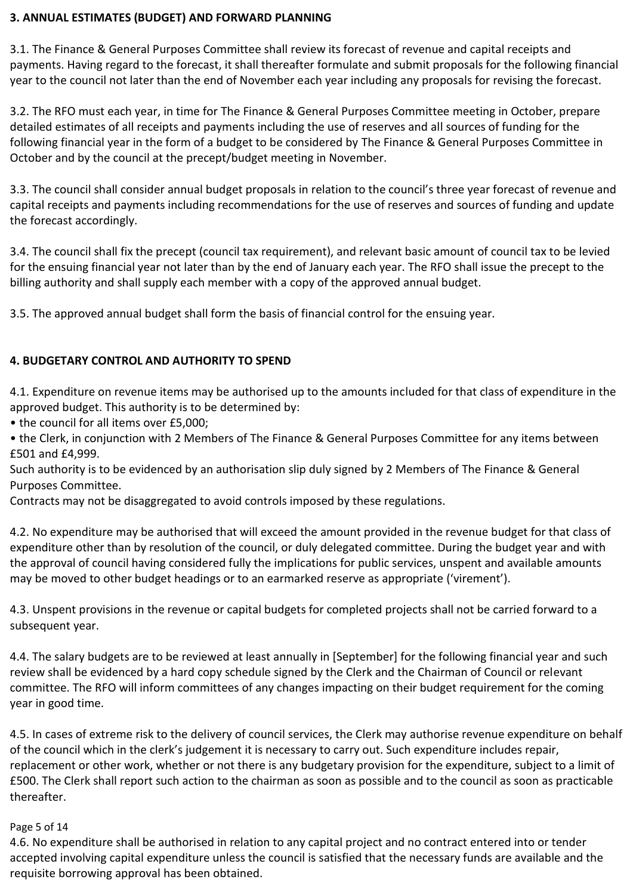#### **3. ANNUAL ESTIMATES (BUDGET) AND FORWARD PLANNING**

3.1. The Finance & General Purposes Committee shall review its forecast of revenue and capital receipts and payments. Having regard to the forecast, it shall thereafter formulate and submit proposals for the following financial year to the council not later than the end of November each year including any proposals for revising the forecast.

3.2. The RFO must each year, in time for The Finance & General Purposes Committee meeting in October, prepare detailed estimates of all receipts and payments including the use of reserves and all sources of funding for the following financial year in the form of a budget to be considered by The Finance & General Purposes Committee in October and by the council at the precept/budget meeting in November.

3.3. The council shall consider annual budget proposals in relation to the council's three year forecast of revenue and capital receipts and payments including recommendations for the use of reserves and sources of funding and update the forecast accordingly.

3.4. The council shall fix the precept (council tax requirement), and relevant basic amount of council tax to be levied for the ensuing financial year not later than by the end of January each year. The RFO shall issue the precept to the billing authority and shall supply each member with a copy of the approved annual budget.

3.5. The approved annual budget shall form the basis of financial control for the ensuing year.

# **4. BUDGETARY CONTROL AND AUTHORITY TO SPEND**

4.1. Expenditure on revenue items may be authorised up to the amounts included for that class of expenditure in the approved budget. This authority is to be determined by:

• the council for all items over £5,000;

• the Clerk, in conjunction with 2 Members of The Finance & General Purposes Committee for any items between £501 and £4,999.

Such authority is to be evidenced by an authorisation slip duly signed by 2 Members of The Finance & General Purposes Committee.

Contracts may not be disaggregated to avoid controls imposed by these regulations.

4.2. No expenditure may be authorised that will exceed the amount provided in the revenue budget for that class of expenditure other than by resolution of the council, or duly delegated committee. During the budget year and with the approval of council having considered fully the implications for public services, unspent and available amounts may be moved to other budget headings or to an earmarked reserve as appropriate ('virement').

4.3. Unspent provisions in the revenue or capital budgets for completed projects shall not be carried forward to a subsequent year.

4.4. The salary budgets are to be reviewed at least annually in [September] for the following financial year and such review shall be evidenced by a hard copy schedule signed by the Clerk and the Chairman of Council or relevant committee. The RFO will inform committees of any changes impacting on their budget requirement for the coming year in good time.

4.5. In cases of extreme risk to the delivery of council services, the Clerk may authorise revenue expenditure on behalf of the council which in the clerk's judgement it is necessary to carry out. Such expenditure includes repair, replacement or other work, whether or not there is any budgetary provision for the expenditure, subject to a limit of £500. The Clerk shall report such action to the chairman as soon as possible and to the council as soon as practicable thereafter.

#### Page 5 of 14

4.6. No expenditure shall be authorised in relation to any capital project and no contract entered into or tender accepted involving capital expenditure unless the council is satisfied that the necessary funds are available and the requisite borrowing approval has been obtained.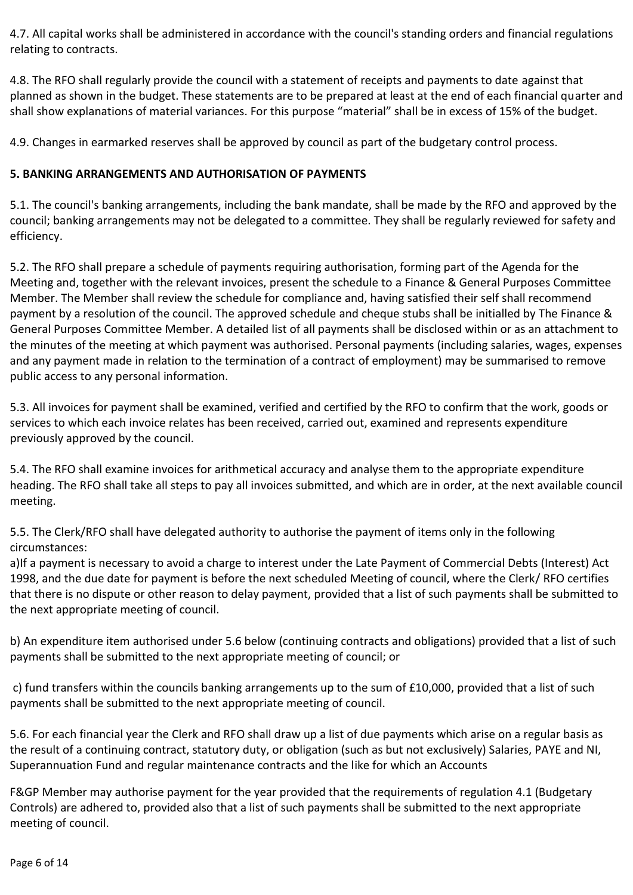4.7. All capital works shall be administered in accordance with the council's standing orders and financial regulations relating to contracts.

4.8. The RFO shall regularly provide the council with a statement of receipts and payments to date against that planned as shown in the budget. These statements are to be prepared at least at the end of each financial quarter and shall show explanations of material variances. For this purpose "material" shall be in excess of 15% of the budget.

4.9. Changes in earmarked reserves shall be approved by council as part of the budgetary control process.

## **5. BANKING ARRANGEMENTS AND AUTHORISATION OF PAYMENTS**

5.1. The council's banking arrangements, including the bank mandate, shall be made by the RFO and approved by the council; banking arrangements may not be delegated to a committee. They shall be regularly reviewed for safety and efficiency.

5.2. The RFO shall prepare a schedule of payments requiring authorisation, forming part of the Agenda for the Meeting and, together with the relevant invoices, present the schedule to a Finance & General Purposes Committee Member. The Member shall review the schedule for compliance and, having satisfied their self shall recommend payment by a resolution of the council. The approved schedule and cheque stubs shall be initialled by The Finance & General Purposes Committee Member. A detailed list of all payments shall be disclosed within or as an attachment to the minutes of the meeting at which payment was authorised. Personal payments (including salaries, wages, expenses and any payment made in relation to the termination of a contract of employment) may be summarised to remove public access to any personal information.

5.3. All invoices for payment shall be examined, verified and certified by the RFO to confirm that the work, goods or services to which each invoice relates has been received, carried out, examined and represents expenditure previously approved by the council.

5.4. The RFO shall examine invoices for arithmetical accuracy and analyse them to the appropriate expenditure heading. The RFO shall take all steps to pay all invoices submitted, and which are in order, at the next available council meeting.

5.5. The Clerk/RFO shall have delegated authority to authorise the payment of items only in the following circumstances:

a)If a payment is necessary to avoid a charge to interest under the Late Payment of Commercial Debts (Interest) Act 1998, and the due date for payment is before the next scheduled Meeting of council, where the Clerk/ RFO certifies that there is no dispute or other reason to delay payment, provided that a list of such payments shall be submitted to the next appropriate meeting of council.

b) An expenditure item authorised under 5.6 below (continuing contracts and obligations) provided that a list of such payments shall be submitted to the next appropriate meeting of council; or

c) fund transfers within the councils banking arrangements up to the sum of £10,000, provided that a list of such payments shall be submitted to the next appropriate meeting of council.

5.6. For each financial year the Clerk and RFO shall draw up a list of due payments which arise on a regular basis as the result of a continuing contract, statutory duty, or obligation (such as but not exclusively) Salaries, PAYE and NI, Superannuation Fund and regular maintenance contracts and the like for which an Accounts

F&GP Member may authorise payment for the year provided that the requirements of regulation 4.1 (Budgetary Controls) are adhered to, provided also that a list of such payments shall be submitted to the next appropriate meeting of council.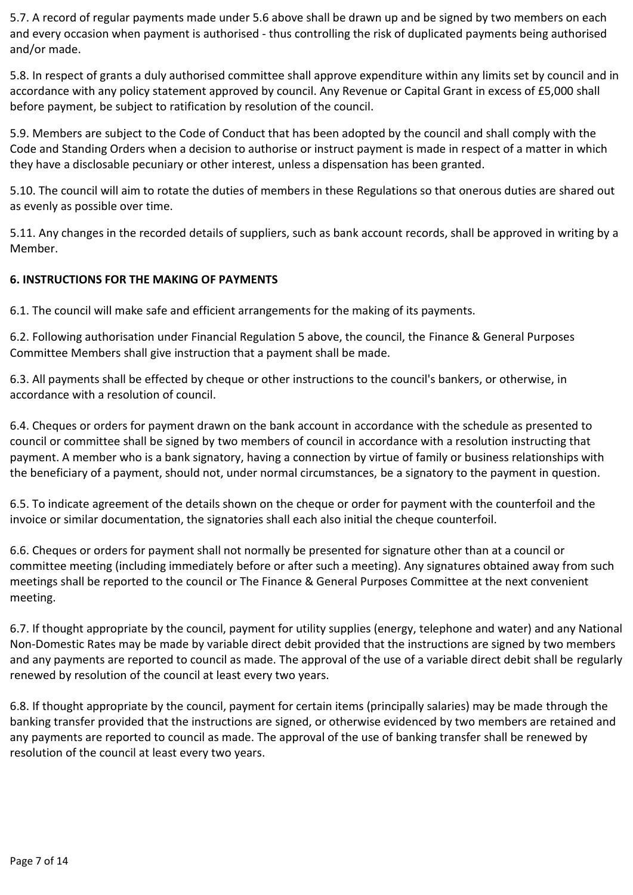5.7. A record of regular payments made under 5.6 above shall be drawn up and be signed by two members on each and every occasion when payment is authorised - thus controlling the risk of duplicated payments being authorised and/or made.

5.8. In respect of grants a duly authorised committee shall approve expenditure within any limits set by council and in accordance with any policy statement approved by council. Any Revenue or Capital Grant in excess of £5,000 shall before payment, be subject to ratification by resolution of the council.

5.9. Members are subject to the Code of Conduct that has been adopted by the council and shall comply with the Code and Standing Orders when a decision to authorise or instruct payment is made in respect of a matter in which they have a disclosable pecuniary or other interest, unless a dispensation has been granted.

5.10. The council will aim to rotate the duties of members in these Regulations so that onerous duties are shared out as evenly as possible over time.

5.11. Any changes in the recorded details of suppliers, such as bank account records, shall be approved in writing by a Member.

## **6. INSTRUCTIONS FOR THE MAKING OF PAYMENTS**

6.1. The council will make safe and efficient arrangements for the making of its payments.

6.2. Following authorisation under Financial Regulation 5 above, the council, the Finance & General Purposes Committee Members shall give instruction that a payment shall be made.

6.3. All payments shall be effected by cheque or other instructions to the council's bankers, or otherwise, in accordance with a resolution of council.

6.4. Cheques or orders for payment drawn on the bank account in accordance with the schedule as presented to council or committee shall be signed by two members of council in accordance with a resolution instructing that payment. A member who is a bank signatory, having a connection by virtue of family or business relationships with the beneficiary of a payment, should not, under normal circumstances, be a signatory to the payment in question.

6.5. To indicate agreement of the details shown on the cheque or order for payment with the counterfoil and the invoice or similar documentation, the signatories shall each also initial the cheque counterfoil.

6.6. Cheques or orders for payment shall not normally be presented for signature other than at a council or committee meeting (including immediately before or after such a meeting). Any signatures obtained away from such meetings shall be reported to the council or The Finance & General Purposes Committee at the next convenient meeting.

6.7. If thought appropriate by the council, payment for utility supplies (energy, telephone and water) and any National Non-Domestic Rates may be made by variable direct debit provided that the instructions are signed by two members and any payments are reported to council as made. The approval of the use of a variable direct debit shall be regularly renewed by resolution of the council at least every two years.

6.8. If thought appropriate by the council, payment for certain items (principally salaries) may be made through the banking transfer provided that the instructions are signed, or otherwise evidenced by two members are retained and any payments are reported to council as made. The approval of the use of banking transfer shall be renewed by resolution of the council at least every two years.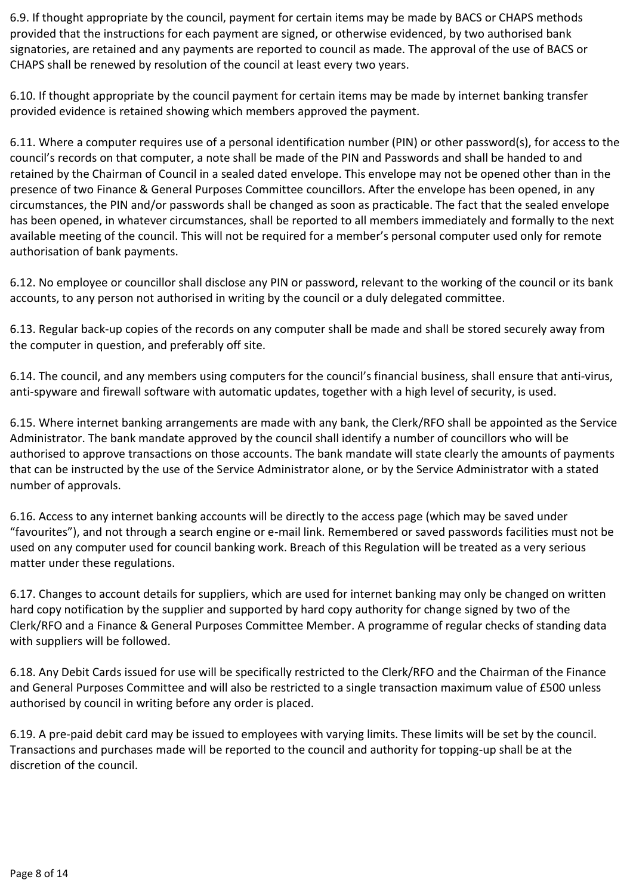6.9. If thought appropriate by the council, payment for certain items may be made by BACS or CHAPS methods provided that the instructions for each payment are signed, or otherwise evidenced, by two authorised bank signatories, are retained and any payments are reported to council as made. The approval of the use of BACS or CHAPS shall be renewed by resolution of the council at least every two years.

6.10. If thought appropriate by the council payment for certain items may be made by internet banking transfer provided evidence is retained showing which members approved the payment.

6.11. Where a computer requires use of a personal identification number (PIN) or other password(s), for access to the council's records on that computer, a note shall be made of the PIN and Passwords and shall be handed to and retained by the Chairman of Council in a sealed dated envelope. This envelope may not be opened other than in the presence of two Finance & General Purposes Committee councillors. After the envelope has been opened, in any circumstances, the PIN and/or passwords shall be changed as soon as practicable. The fact that the sealed envelope has been opened, in whatever circumstances, shall be reported to all members immediately and formally to the next available meeting of the council. This will not be required for a member's personal computer used only for remote authorisation of bank payments.

6.12. No employee or councillor shall disclose any PIN or password, relevant to the working of the council or its bank accounts, to any person not authorised in writing by the council or a duly delegated committee.

6.13. Regular back-up copies of the records on any computer shall be made and shall be stored securely away from the computer in question, and preferably off site.

6.14. The council, and any members using computers for the council's financial business, shall ensure that anti-virus, anti-spyware and firewall software with automatic updates, together with a high level of security, is used.

6.15. Where internet banking arrangements are made with any bank, the Clerk/RFO shall be appointed as the Service Administrator. The bank mandate approved by the council shall identify a number of councillors who will be authorised to approve transactions on those accounts. The bank mandate will state clearly the amounts of payments that can be instructed by the use of the Service Administrator alone, or by the Service Administrator with a stated number of approvals.

6.16. Access to any internet banking accounts will be directly to the access page (which may be saved under "favourites"), and not through a search engine or e-mail link. Remembered or saved passwords facilities must not be used on any computer used for council banking work. Breach of this Regulation will be treated as a very serious matter under these regulations.

6.17. Changes to account details for suppliers, which are used for internet banking may only be changed on written hard copy notification by the supplier and supported by hard copy authority for change signed by two of the Clerk/RFO and a Finance & General Purposes Committee Member. A programme of regular checks of standing data with suppliers will be followed.

6.18. Any Debit Cards issued for use will be specifically restricted to the Clerk/RFO and the Chairman of the Finance and General Purposes Committee and will also be restricted to a single transaction maximum value of £500 unless authorised by council in writing before any order is placed.

6.19. A pre-paid debit card may be issued to employees with varying limits. These limits will be set by the council. Transactions and purchases made will be reported to the council and authority for topping-up shall be at the discretion of the council.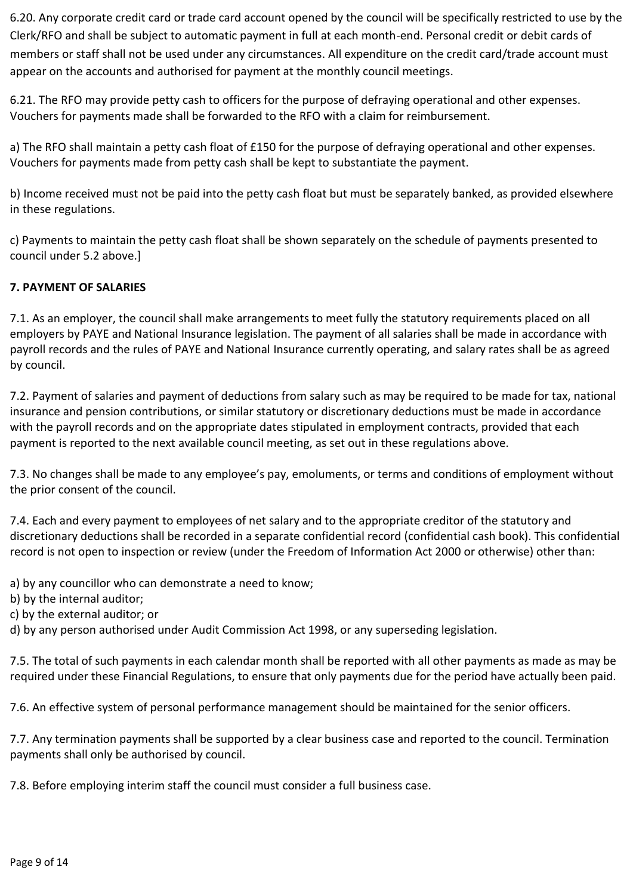6.20. Any corporate credit card or trade card account opened by the council will be specifically restricted to use by the Clerk/RFO and shall be subject to automatic payment in full at each month-end. Personal credit or debit cards of members or staff shall not be used under any circumstances. All expenditure on the credit card/trade account must appear on the accounts and authorised for payment at the monthly council meetings.

6.21. The RFO may provide petty cash to officers for the purpose of defraying operational and other expenses. Vouchers for payments made shall be forwarded to the RFO with a claim for reimbursement.

a) The RFO shall maintain a petty cash float of £150 for the purpose of defraying operational and other expenses. Vouchers for payments made from petty cash shall be kept to substantiate the payment.

b) Income received must not be paid into the petty cash float but must be separately banked, as provided elsewhere in these regulations.

c) Payments to maintain the petty cash float shall be shown separately on the schedule of payments presented to council under 5.2 above.]

## **7. PAYMENT OF SALARIES**

7.1. As an employer, the council shall make arrangements to meet fully the statutory requirements placed on all employers by PAYE and National Insurance legislation. The payment of all salaries shall be made in accordance with payroll records and the rules of PAYE and National Insurance currently operating, and salary rates shall be as agreed by council.

7.2. Payment of salaries and payment of deductions from salary such as may be required to be made for tax, national insurance and pension contributions, or similar statutory or discretionary deductions must be made in accordance with the payroll records and on the appropriate dates stipulated in employment contracts, provided that each payment is reported to the next available council meeting, as set out in these regulations above.

7.3. No changes shall be made to any employee's pay, emoluments, or terms and conditions of employment without the prior consent of the council.

7.4. Each and every payment to employees of net salary and to the appropriate creditor of the statutory and discretionary deductions shall be recorded in a separate confidential record (confidential cash book). This confidential record is not open to inspection or review (under the Freedom of Information Act 2000 or otherwise) other than:

a) by any councillor who can demonstrate a need to know;

- b) by the internal auditor;
- c) by the external auditor; or

d) by any person authorised under Audit Commission Act 1998, or any superseding legislation.

7.5. The total of such payments in each calendar month shall be reported with all other payments as made as may be required under these Financial Regulations, to ensure that only payments due for the period have actually been paid.

7.6. An effective system of personal performance management should be maintained for the senior officers.

7.7. Any termination payments shall be supported by a clear business case and reported to the council. Termination payments shall only be authorised by council.

7.8. Before employing interim staff the council must consider a full business case.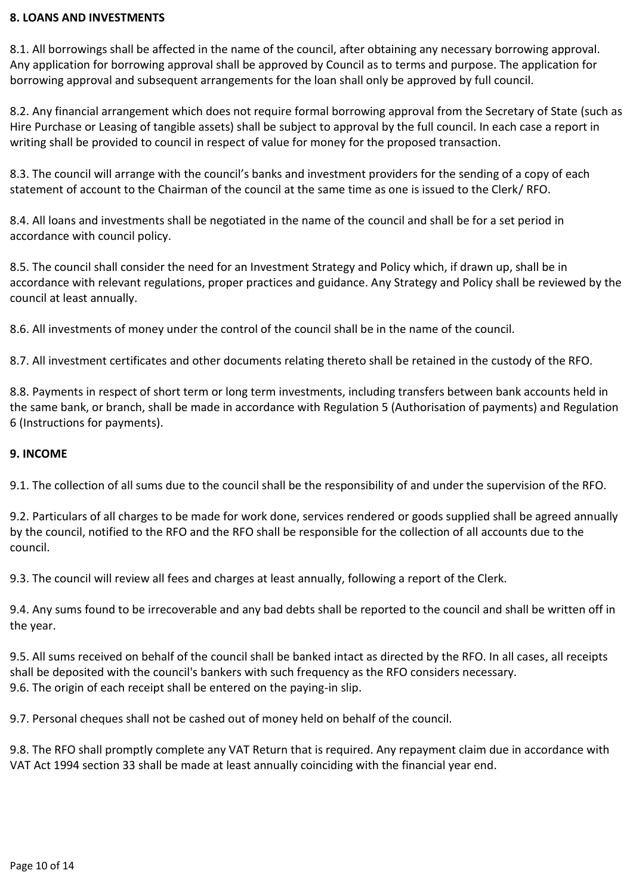#### **8. LOANS AND INVESTMENTS**

8.1. All borrowings shall be affected in the name of the council, after obtaining any necessary borrowing approval. Any application for borrowing approval shall be approved by Council as to terms and purpose. The application for borrowing approval and subsequent arrangements for the loan shall only be approved by full council.

8.2. Any financial arrangement which does not require formal borrowing approval from the Secretary of State (such as Hire Purchase or Leasing of tangible assets) shall be subject to approval by the full council. In each case a report in writing shall be provided to council in respect of value for money for the proposed transaction.

8.3. The council will arrange with the council's banks and investment providers for the sending of a copy of each statement of account to the Chairman of the council at the same time as one is issued to the Clerk/ RFO.

8.4. All loans and investments shall be negotiated in the name of the council and shall be for a set period in accordance with council policy.

8.5. The council shall consider the need for an Investment Strategy and Policy which, if drawn up, shall be in accordance with relevant regulations, proper practices and guidance. Any Strategy and Policy shall be reviewed by the council at least annually.

8.6. All investments of money under the control of the council shall be in the name of the council.

8.7. All investment certificates and other documents relating thereto shall be retained in the custody of the RFO.

8.8. Payments in respect of short term or long term investments, including transfers between bank accounts held in the same bank, or branch, shall be made in accordance with Regulation 5 (Authorisation of payments) and Regulation 6 (Instructions for payments).

## **9. INCOME**

9.1. The collection of all sums due to the council shall be the responsibility of and under the supervision of the RFO.

9.2. Particulars of all charges to be made for work done, services rendered or goods supplied shall be agreed annually by the council, notified to the RFO and the RFO shall be responsible for the collection of all accounts due to the council.

9.3. The council will review all fees and charges at least annually, following a report of the Clerk.

9.4. Any sums found to be irrecoverable and any bad debts shall be reported to the council and shall be written off in the year.

9.5. All sums received on behalf of the council shall be banked intact as directed by the RFO. In all cases, all receipts shall be deposited with the council's bankers with such frequency as the RFO considers necessary. 9.6. The origin of each receipt shall be entered on the paying-in slip.

9.7. Personal cheques shall not be cashed out of money held on behalf of the council.

9.8. The RFO shall promptly complete any VAT Return that is required. Any repayment claim due in accordance with VAT Act 1994 section 33 shall be made at least annually coinciding with the financial year end.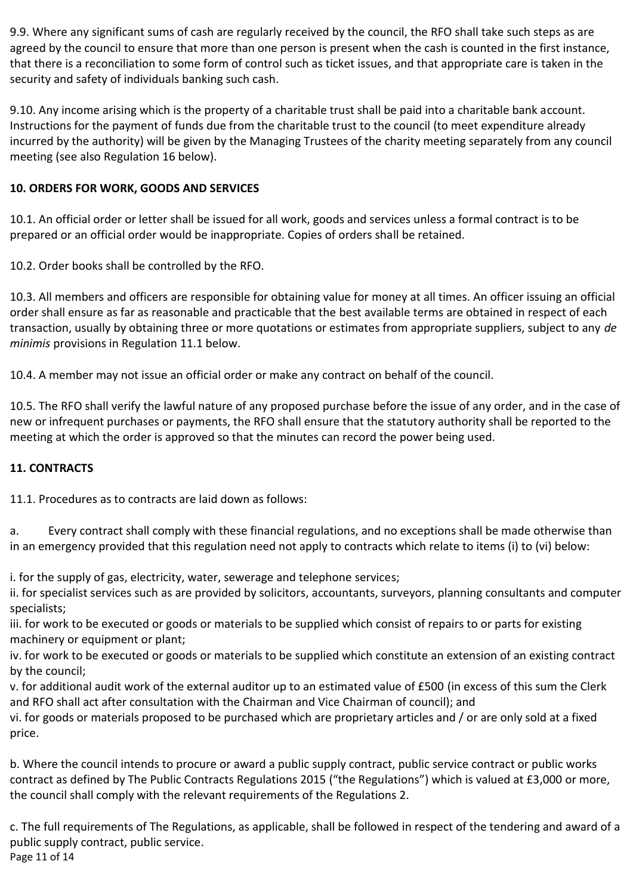9.9. Where any significant sums of cash are regularly received by the council, the RFO shall take such steps as are agreed by the council to ensure that more than one person is present when the cash is counted in the first instance, that there is a reconciliation to some form of control such as ticket issues, and that appropriate care is taken in the security and safety of individuals banking such cash.

9.10. Any income arising which is the property of a charitable trust shall be paid into a charitable bank account. Instructions for the payment of funds due from the charitable trust to the council (to meet expenditure already incurred by the authority) will be given by the Managing Trustees of the charity meeting separately from any council meeting (see also Regulation 16 below).

# **10. ORDERS FOR WORK, GOODS AND SERVICES**

10.1. An official order or letter shall be issued for all work, goods and services unless a formal contract is to be prepared or an official order would be inappropriate. Copies of orders shall be retained.

10.2. Order books shall be controlled by the RFO.

10.3. All members and officers are responsible for obtaining value for money at all times. An officer issuing an official order shall ensure as far as reasonable and practicable that the best available terms are obtained in respect of each transaction, usually by obtaining three or more quotations or estimates from appropriate suppliers, subject to any *de minimis* provisions in Regulation 11.1 below.

10.4. A member may not issue an official order or make any contract on behalf of the council.

10.5. The RFO shall verify the lawful nature of any proposed purchase before the issue of any order, and in the case of new or infrequent purchases or payments, the RFO shall ensure that the statutory authority shall be reported to the meeting at which the order is approved so that the minutes can record the power being used.

# **11. CONTRACTS**

11.1. Procedures as to contracts are laid down as follows:

a. Every contract shall comply with these financial regulations, and no exceptions shall be made otherwise than in an emergency provided that this regulation need not apply to contracts which relate to items (i) to (vi) below:

i. for the supply of gas, electricity, water, sewerage and telephone services;

ii. for specialist services such as are provided by solicitors, accountants, surveyors, planning consultants and computer specialists;

iii. for work to be executed or goods or materials to be supplied which consist of repairs to or parts for existing machinery or equipment or plant;

iv. for work to be executed or goods or materials to be supplied which constitute an extension of an existing contract by the council;

v. for additional audit work of the external auditor up to an estimated value of £500 (in excess of this sum the Clerk and RFO shall act after consultation with the Chairman and Vice Chairman of council); and

vi. for goods or materials proposed to be purchased which are proprietary articles and / or are only sold at a fixed price.

b. Where the council intends to procure or award a public supply contract, public service contract or public works contract as defined by The Public Contracts Regulations 2015 ("the Regulations") which is valued at £3,000 or more, the council shall comply with the relevant requirements of the Regulations 2.

c. The full requirements of The Regulations, as applicable, shall be followed in respect of the tendering and award of a public supply contract, public service. Page 11 of 14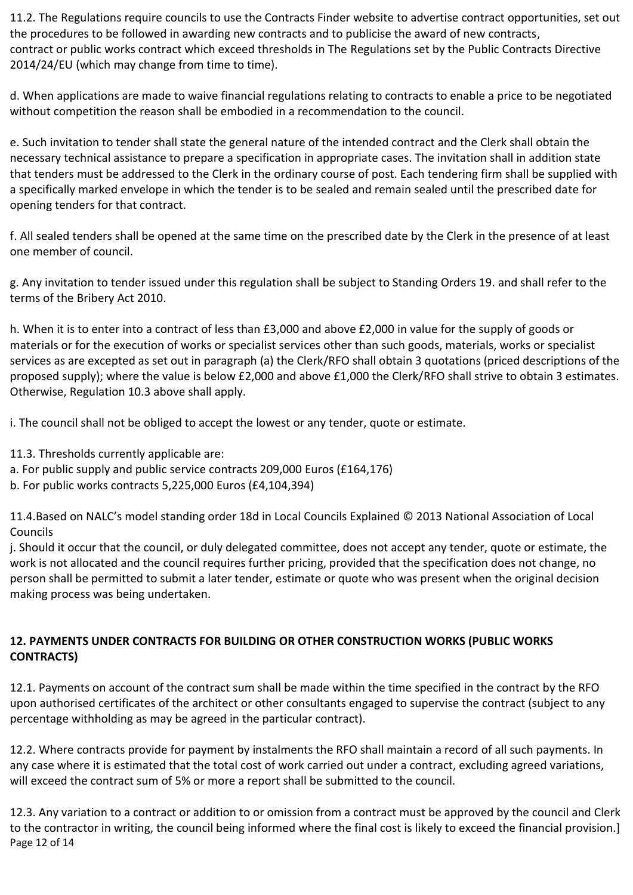11.2. The Regulations require councils to use the Contracts Finder website to advertise contract opportunities, set out the procedures to be followed in awarding new contracts and to publicise the award of new contracts, contract or public works contract which exceed thresholds in The Regulations set by the Public Contracts Directive 2014/24/EU (which may change from time to time).

d. When applications are made to waive financial regulations relating to contracts to enable a price to be negotiated without competition the reason shall be embodied in a recommendation to the council.

e. Such invitation to tender shall state the general nature of the intended contract and the Clerk shall obtain the necessary technical assistance to prepare a specification in appropriate cases. The invitation shall in addition state that tenders must be addressed to the Clerk in the ordinary course of post. Each tendering firm shall be supplied with a specifically marked envelope in which the tender is to be sealed and remain sealed until the prescribed date for opening tenders for that contract.

f. All sealed tenders shall be opened at the same time on the prescribed date by the Clerk in the presence of at least one member of council.

g. Any invitation to tender issued under this regulation shall be subject to Standing Orders 19. and shall refer to the terms of the Bribery Act 2010.

h. When it is to enter into a contract of less than £3,000 and above £2,000 in value for the supply of goods or materials or for the execution of works or specialist services other than such goods, materials, works or specialist services as are excepted as set out in paragraph (a) the Clerk/RFO shall obtain 3 quotations (priced descriptions of the proposed supply); where the value is below £2,000 and above £1,000 the Clerk/RFO shall strive to obtain 3 estimates. Otherwise, Regulation 10.3 above shall apply.

i. The council shall not be obliged to accept the lowest or any tender, quote or estimate.

- 11.3. Thresholds currently applicable are:
- a. For public supply and public service contracts 209,000 Euros (£164,176)
- b. For public works contracts 5,225,000 Euros (£4,104,394)

11.4.Based on NALC's model standing order 18d in Local Councils Explained © 2013 National Association of Local Councils

j. Should it occur that the council, or duly delegated committee, does not accept any tender, quote or estimate, the work is not allocated and the council requires further pricing, provided that the specification does not change, no person shall be permitted to submit a later tender, estimate or quote who was present when the original decision making process was being undertaken.

# **12. PAYMENTS UNDER CONTRACTS FOR BUILDING OR OTHER CONSTRUCTION WORKS (PUBLIC WORKS CONTRACTS)**

12.1. Payments on account of the contract sum shall be made within the time specified in the contract by the RFO upon authorised certificates of the architect or other consultants engaged to supervise the contract (subject to any percentage withholding as may be agreed in the particular contract).

12.2. Where contracts provide for payment by instalments the RFO shall maintain a record of all such payments. In any case where it is estimated that the total cost of work carried out under a contract, excluding agreed variations, will exceed the contract sum of 5% or more a report shall be submitted to the council.

12.3. Any variation to a contract or addition to or omission from a contract must be approved by the council and Clerk to the contractor in writing, the council being informed where the final cost is likely to exceed the financial provision.] Page 12 of 14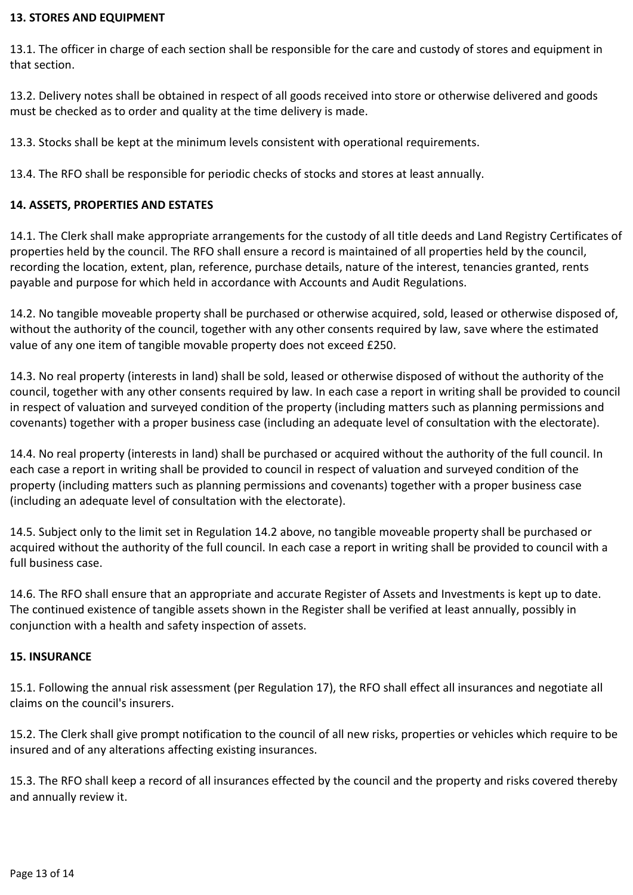#### **13. STORES AND EQUIPMENT**

13.1. The officer in charge of each section shall be responsible for the care and custody of stores and equipment in that section.

13.2. Delivery notes shall be obtained in respect of all goods received into store or otherwise delivered and goods must be checked as to order and quality at the time delivery is made.

13.3. Stocks shall be kept at the minimum levels consistent with operational requirements.

13.4. The RFO shall be responsible for periodic checks of stocks and stores at least annually.

#### **14. ASSETS, PROPERTIES AND ESTATES**

14.1. The Clerk shall make appropriate arrangements for the custody of all title deeds and Land Registry Certificates of properties held by the council. The RFO shall ensure a record is maintained of all properties held by the council, recording the location, extent, plan, reference, purchase details, nature of the interest, tenancies granted, rents payable and purpose for which held in accordance with Accounts and Audit Regulations.

14.2. No tangible moveable property shall be purchased or otherwise acquired, sold, leased or otherwise disposed of, without the authority of the council, together with any other consents required by law, save where the estimated value of any one item of tangible movable property does not exceed £250.

14.3. No real property (interests in land) shall be sold, leased or otherwise disposed of without the authority of the council, together with any other consents required by law. In each case a report in writing shall be provided to council in respect of valuation and surveyed condition of the property (including matters such as planning permissions and covenants) together with a proper business case (including an adequate level of consultation with the electorate).

14.4. No real property (interests in land) shall be purchased or acquired without the authority of the full council. In each case a report in writing shall be provided to council in respect of valuation and surveyed condition of the property (including matters such as planning permissions and covenants) together with a proper business case (including an adequate level of consultation with the electorate).

14.5. Subject only to the limit set in Regulation 14.2 above, no tangible moveable property shall be purchased or acquired without the authority of the full council. In each case a report in writing shall be provided to council with a full business case.

14.6. The RFO shall ensure that an appropriate and accurate Register of Assets and Investments is kept up to date. The continued existence of tangible assets shown in the Register shall be verified at least annually, possibly in conjunction with a health and safety inspection of assets.

#### **15. INSURANCE**

15.1. Following the annual risk assessment (per Regulation 17), the RFO shall effect all insurances and negotiate all claims on the council's insurers.

15.2. The Clerk shall give prompt notification to the council of all new risks, properties or vehicles which require to be insured and of any alterations affecting existing insurances.

15.3. The RFO shall keep a record of all insurances effected by the council and the property and risks covered thereby and annually review it.